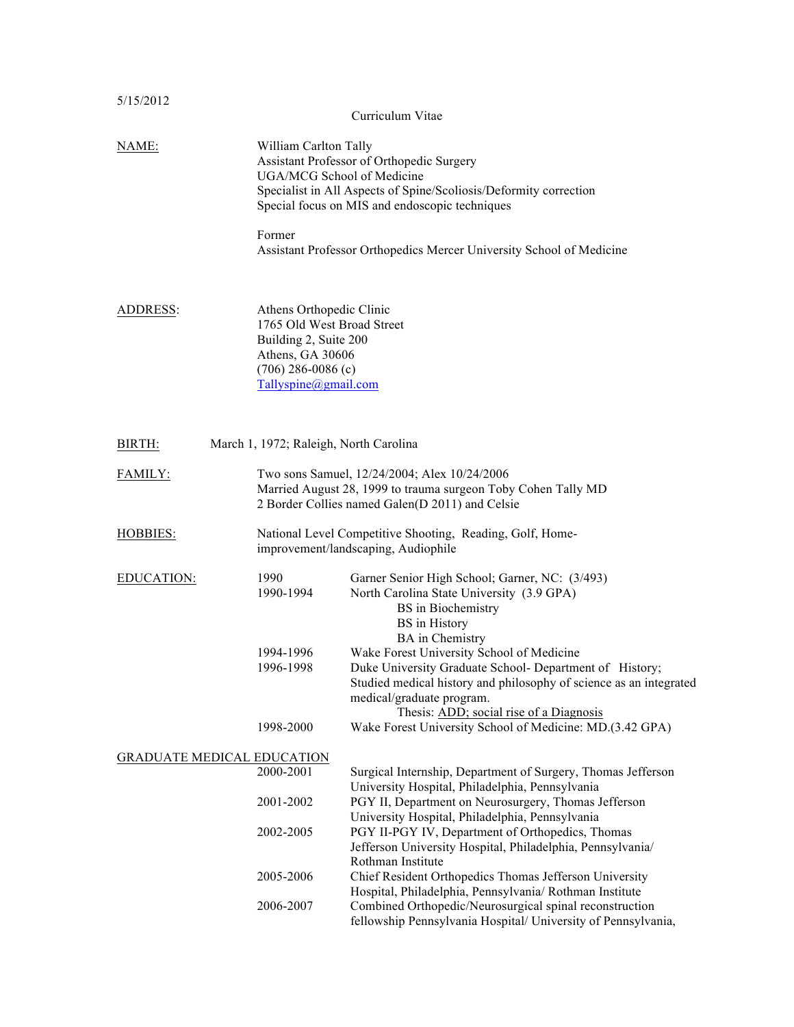| 5/15/2012                         |                                                                                                                                                     | Curriculum Vitae                                                                                                                                                                                                                                                                                                                                                                                                                                                                             |
|-----------------------------------|-----------------------------------------------------------------------------------------------------------------------------------------------------|----------------------------------------------------------------------------------------------------------------------------------------------------------------------------------------------------------------------------------------------------------------------------------------------------------------------------------------------------------------------------------------------------------------------------------------------------------------------------------------------|
| NAME:                             | William Carlton Tally<br>UGA/MCG School of Medicine<br>Former                                                                                       | Assistant Professor of Orthopedic Surgery<br>Specialist in All Aspects of Spine/Scoliosis/Deformity correction<br>Special focus on MIS and endoscopic techniques<br>Assistant Professor Orthopedics Mercer University School of Medicine                                                                                                                                                                                                                                                     |
| ADDRESS:                          | Athens Orthopedic Clinic<br>1765 Old West Broad Street<br>Building 2, Suite 200<br>Athens, GA 30606<br>$(706)$ 286-0086 (c)<br>Tallyspine@gmail.com |                                                                                                                                                                                                                                                                                                                                                                                                                                                                                              |
| BIRTH:                            | March 1, 1972; Raleigh, North Carolina                                                                                                              |                                                                                                                                                                                                                                                                                                                                                                                                                                                                                              |
| FAMILY:                           |                                                                                                                                                     | Two sons Samuel, 12/24/2004; Alex 10/24/2006<br>Married August 28, 1999 to trauma surgeon Toby Cohen Tally MD<br>2 Border Collies named Galen(D 2011) and Celsie                                                                                                                                                                                                                                                                                                                             |
| <b>HOBBIES:</b>                   |                                                                                                                                                     | National Level Competitive Shooting, Reading, Golf, Home-<br>improvement/landscaping, Audiophile                                                                                                                                                                                                                                                                                                                                                                                             |
| EDUCATION:                        | 1990<br>1990-1994<br>1994-1996<br>1996-1998<br>1998-2000                                                                                            | Garner Senior High School; Garner, NC: (3/493)<br>North Carolina State University (3.9 GPA)<br><b>BS</b> in Biochemistry<br><b>BS</b> in History<br><b>BA</b> in Chemistry<br>Wake Forest University School of Medicine<br>Duke University Graduate School- Department of History;<br>Studied medical history and philosophy of science as an integrated<br>medical/graduate program.<br>Thesis: ADD; social rise of a Diagnosis<br>Wake Forest University School of Medicine: MD.(3.42 GPA) |
| <b>GRADUATE MEDICAL EDUCATION</b> |                                                                                                                                                     |                                                                                                                                                                                                                                                                                                                                                                                                                                                                                              |
|                                   | 2000-2001                                                                                                                                           | Surgical Internship, Department of Surgery, Thomas Jefferson<br>University Hospital, Philadelphia, Pennsylvania                                                                                                                                                                                                                                                                                                                                                                              |
|                                   | 2001-2002                                                                                                                                           | PGY II, Department on Neurosurgery, Thomas Jefferson<br>University Hospital, Philadelphia, Pennsylvania                                                                                                                                                                                                                                                                                                                                                                                      |
|                                   | 2002-2005                                                                                                                                           | PGY II-PGY IV, Department of Orthopedics, Thomas<br>Jefferson University Hospital, Philadelphia, Pennsylvania/<br>Rothman Institute                                                                                                                                                                                                                                                                                                                                                          |
|                                   | 2005-2006                                                                                                                                           | Chief Resident Orthopedics Thomas Jefferson University<br>Hospital, Philadelphia, Pennsylvania/ Rothman Institute                                                                                                                                                                                                                                                                                                                                                                            |
|                                   | 2006-2007                                                                                                                                           | Combined Orthopedic/Neurosurgical spinal reconstruction<br>fellowship Pennsylvania Hospital/ University of Pennsylvania,                                                                                                                                                                                                                                                                                                                                                                     |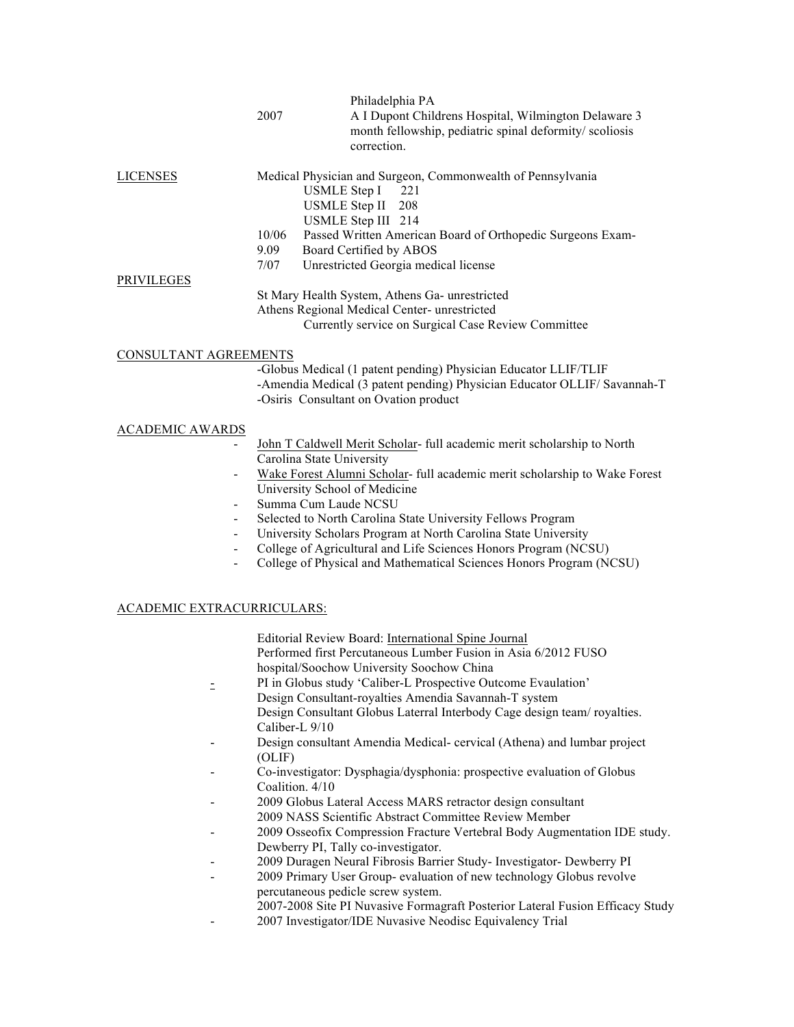|                        |       | Philadelphia PA                                                                                                |
|------------------------|-------|----------------------------------------------------------------------------------------------------------------|
|                        | 2007  | A I Dupont Childrens Hospital, Wilmington Delaware 3<br>month fellowship, pediatric spinal deformity/scoliosis |
|                        |       | correction.                                                                                                    |
| <b>LICENSES</b>        |       | Medical Physician and Surgeon, Commonwealth of Pennsylvania                                                    |
|                        |       | <b>USMLE</b> Step I<br>221                                                                                     |
|                        |       | <b>USMLE Step II</b><br>208                                                                                    |
|                        |       | USMLE Step III 214                                                                                             |
|                        | 10/06 | Passed Written American Board of Orthopedic Surgeons Exam-                                                     |
|                        | 9.09  | Board Certified by ABOS                                                                                        |
|                        | 7/07  | Unrestricted Georgia medical license                                                                           |
| <b>PRIVILEGES</b>      |       |                                                                                                                |
|                        |       | St Mary Health System, Athens Ga- unrestricted                                                                 |
|                        |       | Athens Regional Medical Center- unrestricted                                                                   |
|                        |       | Currently service on Surgical Case Review Committee                                                            |
|                        |       |                                                                                                                |
| CONSULTANT AGREEMENTS  |       |                                                                                                                |
|                        |       | -Globus Medical (1 patent pending) Physician Educator LLIF/TLIF                                                |
|                        |       | -Amendia Medical (3 patent pending) Physician Educator OLLIF/ Savannah-T                                       |
|                        |       | -Osiris Consultant on Ovation product                                                                          |
| <b>ACADEMIC AWARDS</b> |       |                                                                                                                |
|                        |       | John T Caldwell Merit Scholar- full academic merit scholarship to North                                        |
|                        |       | Carolina State University                                                                                      |
|                        |       | Wake Forest Alumni Scholar- full academic merit scholarship to Wake Forest                                     |
|                        |       | University School of Medicine                                                                                  |
|                        |       | Summa Cum Laude NCSU                                                                                           |

- Selected to North Carolina State University Fellows Program
- University Scholars Program at North Carolina State University
- College of Agricultural and Life Sciences Honors Program (NCSU)
- College of Physical and Mathematical Sciences Honors Program (NCSU)

# ACADEMIC EXTRACURRICULARS:

| Editorial Review Board: International Spine Journal            |  |
|----------------------------------------------------------------|--|
| Performed first Percutaneous Lumber Fusion in Asia 6/2012 FUSO |  |
| hospital/Soochow University Soochow China                      |  |

- PI in Globus study 'Caliber-L Prospective Outcome Evaulation' Design Consultant-royalties Amendia Savannah-T system Design Consultant Globus Laterral Interbody Cage design team/ royalties. Caliber-L 9/10
- Design consultant Amendia Medical- cervical (Athena) and lumbar project (OLIF)
- Co-investigator: Dysphagia/dysphonia: prospective evaluation of Globus Coalition. 4/10
- 2009 Globus Lateral Access MARS retractor design consultant 2009 NASS Scientific Abstract Committee Review Member
- 2009 Osseofix Compression Fracture Vertebral Body Augmentation IDE study. Dewberry PI, Tally co-investigator.
- 2009 Duragen Neural Fibrosis Barrier Study- Investigator- Dewberry PI
- 2009 Primary User Group- evaluation of new technology Globus revolve percutaneous pedicle screw system.
	- 2007-2008 Site PI Nuvasive Formagraft Posterior Lateral Fusion Efficacy Study
- 2007 Investigator/IDE Nuvasive Neodisc Equivalency Trial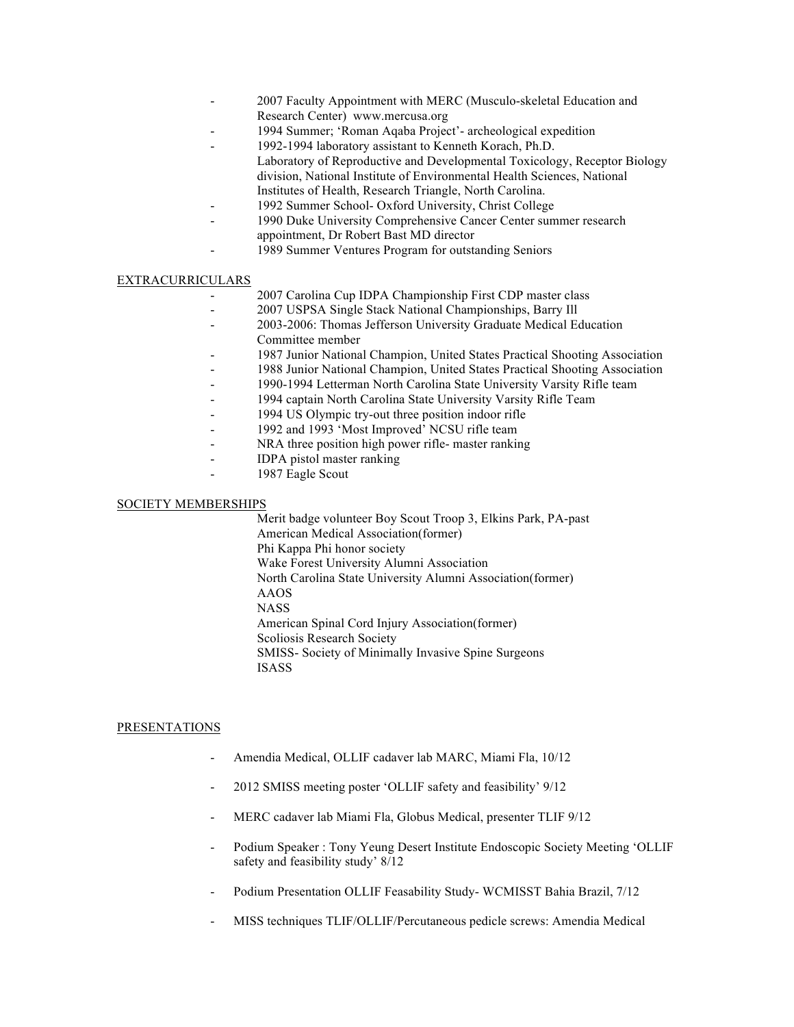- 2007 Faculty Appointment with MERC (Musculo-skeletal Education and Research Center) www.mercusa.org
- 1994 Summer; 'Roman Aqaba Project'- archeological expedition
- 1992-1994 laboratory assistant to Kenneth Korach, Ph.D.
	- Laboratory of Reproductive and Developmental Toxicology, Receptor Biology division, National Institute of Environmental Health Sciences, National Institutes of Health, Research Triangle, North Carolina.
- 1992 Summer School- Oxford University, Christ College
- 1990 Duke University Comprehensive Cancer Center summer research appointment, Dr Robert Bast MD director
- 1989 Summer Ventures Program for outstanding Seniors

## EXTRACURRICULARS

- 2007 Carolina Cup IDPA Championship First CDP master class
	- 2007 USPSA Single Stack National Championships, Barry Ill
- 2003-2006: Thomas Jefferson University Graduate Medical Education Committee member
- 1987 Junior National Champion, United States Practical Shooting Association
- 1988 Junior National Champion, United States Practical Shooting Association
- 1990-1994 Letterman North Carolina State University Varsity Rifle team
- 1994 captain North Carolina State University Varsity Rifle Team
- 1994 US Olympic try-out three position indoor rifle
- 1992 and 1993 'Most Improved' NCSU rifle team
- NRA three position high power rifle- master ranking
- IDPA pistol master ranking
	- 1987 Eagle Scout

## SOCIETY MEMBERSHIPS

Merit badge volunteer Boy Scout Troop 3, Elkins Park, PA-past American Medical Association(former) Phi Kappa Phi honor society Wake Forest University Alumni Association North Carolina State University Alumni Association(former) AAOS **NASS** American Spinal Cord Injury Association(former) Scoliosis Research Society SMISS- Society of Minimally Invasive Spine Surgeons ISASS

# PRESENTATIONS

- Amendia Medical, OLLIF cadaver lab MARC, Miami Fla, 10/12
- 2012 SMISS meeting poster 'OLLIF safety and feasibility' 9/12
- MERC cadaver lab Miami Fla, Globus Medical, presenter TLIF 9/12
- Podium Speaker : Tony Yeung Desert Institute Endoscopic Society Meeting 'OLLIF safety and feasibility study' 8/12
- Podium Presentation OLLIF Feasability Study- WCMISST Bahia Brazil, 7/12
- MISS techniques TLIF/OLLIF/Percutaneous pedicle screws: Amendia Medical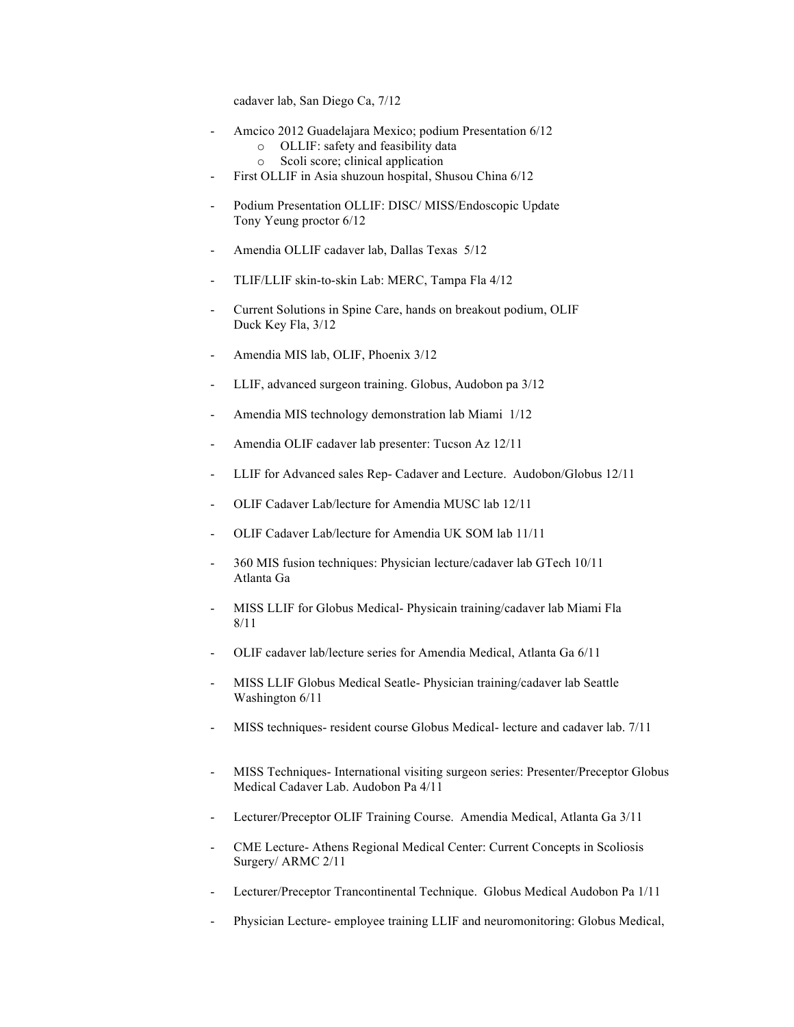cadaver lab, San Diego Ca, 7/12

- Amcico 2012 Guadelajara Mexico; podium Presentation 6/12
	- o OLLIF: safety and feasibility data
	- o Scoli score; clinical application
- First OLLIF in Asia shuzoun hospital, Shusou China 6/12
- Podium Presentation OLLIF: DISC/ MISS/Endoscopic Update Tony Yeung proctor 6/12
- Amendia OLLIF cadaver lab, Dallas Texas 5/12
- TLIF/LLIF skin-to-skin Lab: MERC, Tampa Fla 4/12
- Current Solutions in Spine Care, hands on breakout podium, OLIF Duck Key Fla, 3/12
- Amendia MIS lab, OLIF, Phoenix 3/12
- LLIF, advanced surgeon training. Globus, Audobon pa 3/12
- Amendia MIS technology demonstration lab Miami 1/12
- Amendia OLIF cadaver lab presenter: Tucson Az 12/11
- LLIF for Advanced sales Rep- Cadaver and Lecture. Audobon/Globus 12/11
- OLIF Cadaver Lab/lecture for Amendia MUSC lab 12/11
- OLIF Cadaver Lab/lecture for Amendia UK SOM lab 11/11
- 360 MIS fusion techniques: Physician lecture/cadaver lab GTech 10/11 Atlanta Ga
- MISS LLIF for Globus Medical- Physicain training/cadaver lab Miami Fla 8/11
- OLIF cadaver lab/lecture series for Amendia Medical, Atlanta Ga 6/11
- MISS LLIF Globus Medical Seatle- Physician training/cadaver lab Seattle Washington 6/11
- MISS techniques- resident course Globus Medical- lecture and cadaver lab. 7/11
- MISS Techniques- International visiting surgeon series: Presenter/Preceptor Globus Medical Cadaver Lab. Audobon Pa 4/11
- Lecturer/Preceptor OLIF Training Course. Amendia Medical, Atlanta Ga 3/11
- CME Lecture- Athens Regional Medical Center: Current Concepts in Scoliosis Surgery/ ARMC 2/11
- Lecturer/Preceptor Trancontinental Technique. Globus Medical Audobon Pa 1/11
- Physician Lecture- employee training LLIF and neuromonitoring: Globus Medical,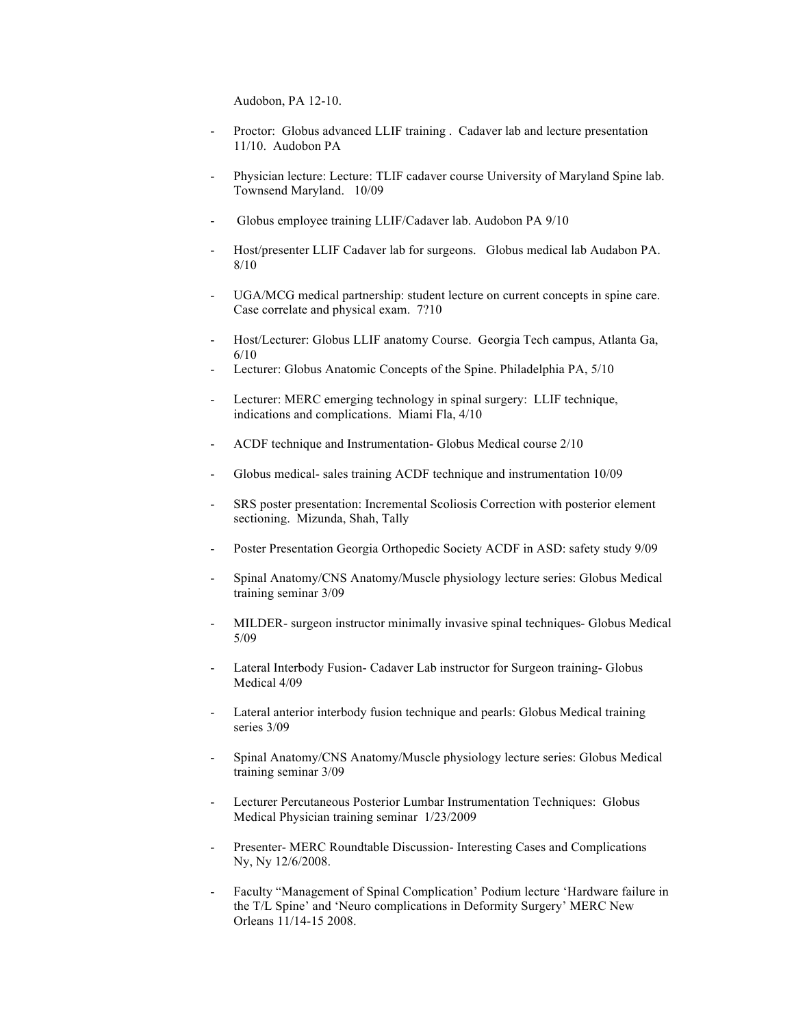Audobon, PA 12-10.

- Proctor: Globus advanced LLIF training . Cadaver lab and lecture presentation 11/10. Audobon PA
- Physician lecture: Lecture: TLIF cadaver course University of Maryland Spine lab. Townsend Maryland. 10/09
- Globus employee training LLIF/Cadaver lab. Audobon PA 9/10
- Host/presenter LLIF Cadaver lab for surgeons. Globus medical lab Audabon PA. 8/10
- UGA/MCG medical partnership: student lecture on current concepts in spine care. Case correlate and physical exam. 7?10
- Host/Lecturer: Globus LLIF anatomy Course. Georgia Tech campus, Atlanta Ga, 6/10
- Lecturer: Globus Anatomic Concepts of the Spine. Philadelphia PA,  $5/10$
- Lecturer: MERC emerging technology in spinal surgery: LLIF technique, indications and complications. Miami Fla, 4/10
- ACDF technique and Instrumentation- Globus Medical course 2/10
- Globus medical- sales training ACDF technique and instrumentation 10/09
- SRS poster presentation: Incremental Scoliosis Correction with posterior element sectioning. Mizunda, Shah, Tally
- Poster Presentation Georgia Orthopedic Society ACDF in ASD: safety study 9/09
- Spinal Anatomy/CNS Anatomy/Muscle physiology lecture series: Globus Medical training seminar 3/09
- MILDER- surgeon instructor minimally invasive spinal techniques- Globus Medical 5/09
- Lateral Interbody Fusion- Cadaver Lab instructor for Surgeon training- Globus Medical 4/09
- Lateral anterior interbody fusion technique and pearls: Globus Medical training series 3/09
- Spinal Anatomy/CNS Anatomy/Muscle physiology lecture series: Globus Medical training seminar 3/09
- Lecturer Percutaneous Posterior Lumbar Instrumentation Techniques: Globus Medical Physician training seminar 1/23/2009
- Presenter- MERC Roundtable Discussion- Interesting Cases and Complications Ny, Ny 12/6/2008.
- Faculty "Management of Spinal Complication' Podium lecture 'Hardware failure in the T/L Spine' and 'Neuro complications in Deformity Surgery' MERC New Orleans 11/14-15 2008.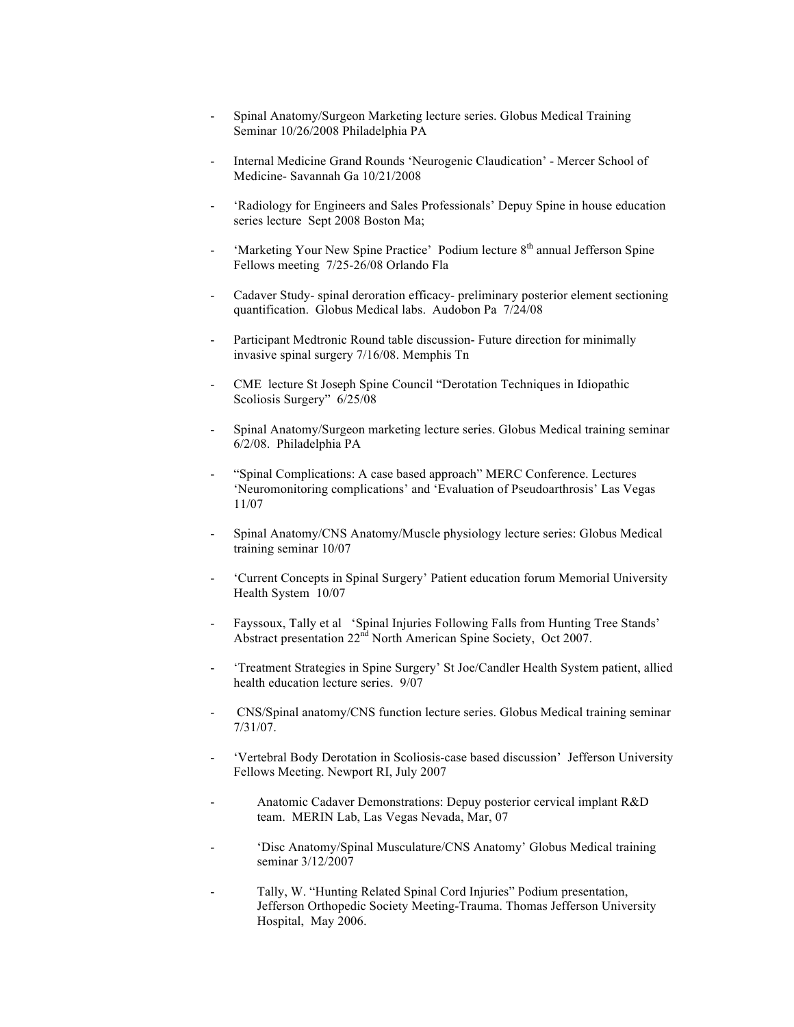- Spinal Anatomy/Surgeon Marketing lecture series. Globus Medical Training Seminar 10/26/2008 Philadelphia PA
- Internal Medicine Grand Rounds 'Neurogenic Claudication' Mercer School of Medicine- Savannah Ga 10/21/2008
- 'Radiology for Engineers and Sales Professionals' Depuy Spine in house education series lecture Sept 2008 Boston Ma;
- 'Marketing Your New Spine Practice' Podium lecture 8<sup>th</sup> annual Jefferson Spine Fellows meeting 7/25-26/08 Orlando Fla
- Cadaver Study- spinal deroration efficacy- preliminary posterior element sectioning quantification. Globus Medical labs. Audobon Pa 7/24/08
- Participant Medtronic Round table discussion- Future direction for minimally invasive spinal surgery 7/16/08. Memphis Tn
- CME lecture St Joseph Spine Council "Derotation Techniques in Idiopathic Scoliosis Surgery" 6/25/08
- Spinal Anatomy/Surgeon marketing lecture series. Globus Medical training seminar 6/2/08. Philadelphia PA
- "Spinal Complications: A case based approach" MERC Conference. Lectures 'Neuromonitoring complications' and 'Evaluation of Pseudoarthrosis' Las Vegas 11/07
- Spinal Anatomy/CNS Anatomy/Muscle physiology lecture series: Globus Medical training seminar 10/07
- 'Current Concepts in Spinal Surgery' Patient education forum Memorial University Health System 10/07
- Fayssoux, Tally et al 'Spinal Injuries Following Falls from Hunting Tree Stands' Abstract presentation 22<sup>nd</sup> North American Spine Society, Oct 2007.
- 'Treatment Strategies in Spine Surgery' St Joe/Candler Health System patient, allied health education lecture series. 9/07
- CNS/Spinal anatomy/CNS function lecture series. Globus Medical training seminar 7/31/07.
- 'Vertebral Body Derotation in Scoliosis-case based discussion' Jefferson University Fellows Meeting. Newport RI, July 2007
- Anatomic Cadaver Demonstrations: Depuy posterior cervical implant R&D team. MERIN Lab, Las Vegas Nevada, Mar, 07
- 'Disc Anatomy/Spinal Musculature/CNS Anatomy' Globus Medical training seminar 3/12/2007
- Tally, W. "Hunting Related Spinal Cord Injuries" Podium presentation, Jefferson Orthopedic Society Meeting-Trauma. Thomas Jefferson University Hospital, May 2006.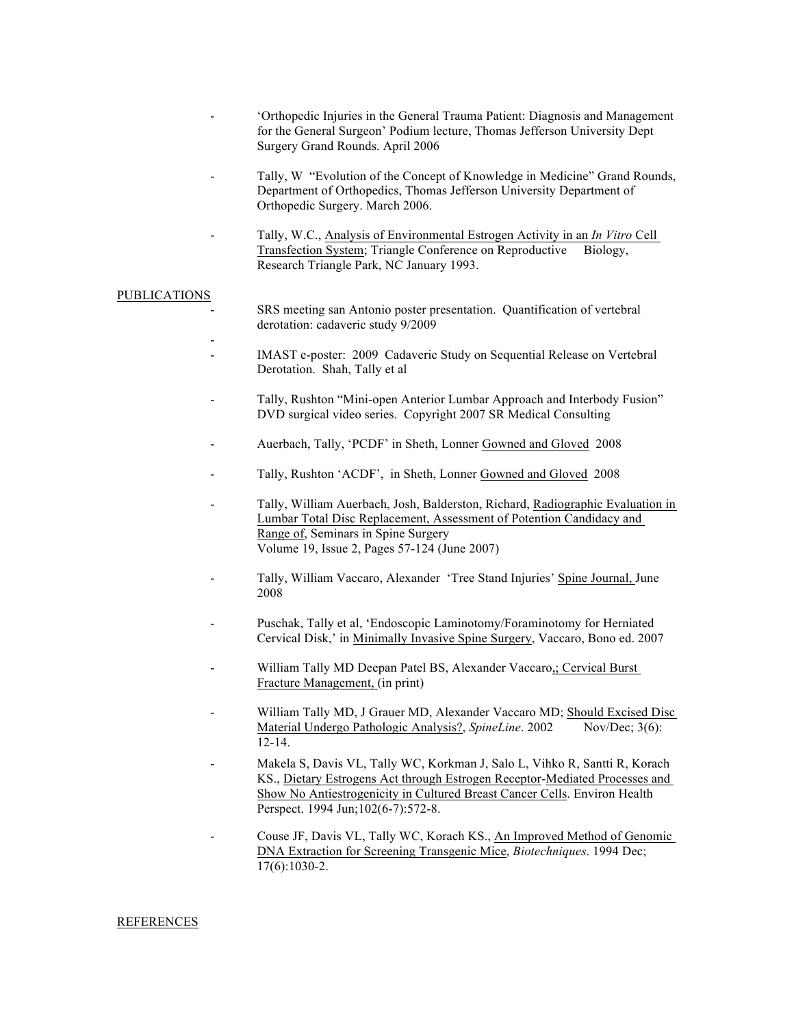- 'Orthopedic Injuries in the General Trauma Patient: Diagnosis and Management for the General Surgeon' Podium lecture, Thomas Jefferson University Dept Surgery Grand Rounds. April 2006
- Tally, W "Evolution of the Concept of Knowledge in Medicine" Grand Rounds, Department of Orthopedics, Thomas Jefferson University Department of Orthopedic Surgery. March 2006.
- Tally, W.C., Analysis of Environmental Estrogen Activity in an *In Vitro* Cell Transfection System; Triangle Conference on Reproductive Biology, Research Triangle Park, NC January 1993.

#### PUBLICATIONS

-

- SRS meeting san Antonio poster presentation. Quantification of vertebral derotation: cadaveric study 9/2009
- IMAST e-poster: 2009 Cadaveric Study on Sequential Release on Vertebral Derotation. Shah, Tally et al
- Tally, Rushton "Mini-open Anterior Lumbar Approach and Interbody Fusion" DVD surgical video series. Copyright 2007 SR Medical Consulting
- Auerbach, Tally, 'PCDF' in Sheth, Lonner Gowned and Gloved 2008
- Tally, Rushton 'ACDF', in Sheth, Lonner Gowned and Gloved 2008
- Tally, William Auerbach, Josh, Balderston, Richard, Radiographic Evaluation in Lumbar Total Disc Replacement, Assessment of Potention Candidacy and Range of, Seminars in Spine Surgery Volume 19, Issue 2, Pages 57-124 (June 2007)
- Tally, William Vaccaro, Alexander 'Tree Stand Injuries' Spine Journal, June 2008
- Puschak, Tally et al, 'Endoscopic Laminotomy/Foraminotomy for Herniated Cervical Disk,' in Minimally Invasive Spine Surgery, Vaccaro, Bono ed. 2007
- William Tally MD Deepan Patel BS, Alexander Vaccaro,; Cervical Burst Fracture Management, (in print)
- William Tally MD, J Grauer MD, Alexander Vaccaro MD; Should Excised Disc Material Undergo Pathologic Analysis?, *SpineLine*. 2002 Nov/Dec; 3(6): 12-14.
- Makela S, Davis VL, Tally WC, Korkman J, Salo L, Vihko R, Santti R, Korach KS., Dietary Estrogens Act through Estrogen Receptor-Mediated Processes and Show No Antiestrogenicity in Cultured Breast Cancer Cells. Environ Health Perspect. 1994 Jun;102(6-7):572-8.
- Couse JF, Davis VL, Tally WC, Korach KS., An Improved Method of Genomic DNA Extraction for Screening Transgenic Mice, *Biotechniques*. 1994 Dec; 17(6):1030-2.

#### REFERENCES